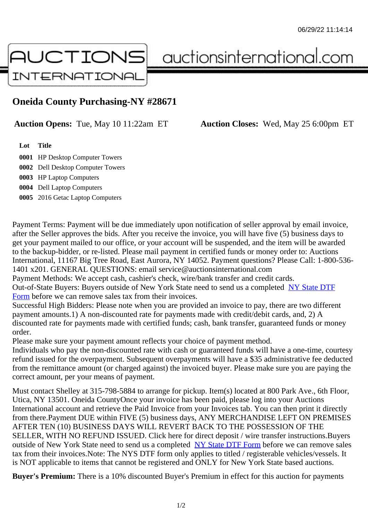## Oneida County Purchasing-NY #28671

Auction Opens: Tue, May 10 11:22am ET Auction Closes: Wed, May 25 6:00pm ET

Lot Title

0001 HP Desktop Computer Towers

0002 Dell Desktop Computer Towers 0003 HP Laptop Computers

0004 Dell Laptop Computers

0005 2016 Getac Laptop Computers

Payment Terms: Payment will be due immediately upon notification of seller approval by email invoice, after the Seller approves the bids. After you receive the invoice, you will have five (5) business days to get your payment mailed to our office, or your account will be suspended, and the item will be awarded to the backup-bidder, or re-listed. Please mail payment in certified funds or money order to: Auctions International, 11167 Big Tree Road, East Aurora, NY 14052. Payment questions? Please Call: 1-800-53 1401 x201. GENERAL QUESTIONS: email service@auctionsinternational.com

Payment Methods: We accept cash, cashier's check, wire/bank transfer and credit cards.

Out-of-State Buyers: Buyers outside of New York State need to send us a com blestate DTF Form before we can remove sales tax from their invoices.

Successful High Bidders: Please note when you are provided an invoice to pay, there are two different payment amounts.1) A non-discounted rate for payments made with credit/de[bit cards, and](https://www.auctionsinternational.com/auxiliary/downloads/DTF_Form/dtf_fill_in.pdf), 2) A [disco](https://www.auctionsinternational.com/auxiliary/downloads/DTF_Form/dtf_fill_in.pdf)unted rate for payments made with certified funds; cash, bank transfer, quaranteed funds or mone order.

Please make sure your payment amount reflects your choice of payment method.

Individuals who pay the non-discounted rate with cash or quaranteed funds will have a one-time, courte refund issued for the overpayment. Subsequent overpayments will have a \$35 administrative fee deduc from the remittance amount (or charged against) the invoiced buyer. Please make sure you are paying correct amount, per your means of payment.

Must contact Shelley at 315-798-5884 to arrange for pickup. Item(s) located at 800 Park Ave., 6th Floor, Utica, NY 13501. Oneida CountyOnce your invoice has been paid, please log into your Auctions International account and retrieve the Paid Invoice from your Invoices tab. You can then print it directly from there.Payment DUE within FIVE (5) business days, ANY MERCHANDISE LEFT ON PREMISES AFTER TEN (10) BUSINESS DAYS WILL REVERT BACK TO THE POSSESSION OF THE SELLER, WITH NO REFUND ISSUED. Click here for direct deposit / wire transfer instructions.Buyers outside of New York State need to send us a complete **State DTF Form before we can remove sales** tax from their invoices.Note: The NYS DTF form only applies to titled / registerable vehicles/vessels. It is NOT applicable to items that cannot be registered and ONLY for New York State based auctions.

Buyer's Premium: There is a 10% discounted Buye[r's Premium in effec](https://www.auctionsinternational.com/auxiliary/downloads/DTF_Form/dtf_fill_in.pdf)t for this auction for payments